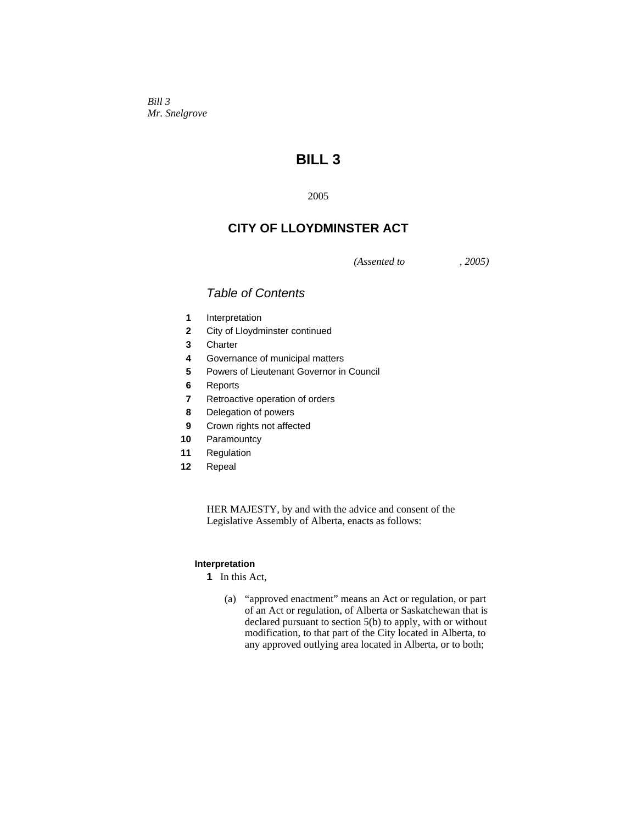*Bill 3 Mr. Snelgrove* 

# **BILL 3**

2005

## **CITY OF LLOYDMINSTER ACT**

*(Assented to , 2005)* 

## *Table of Contents*

- **1** Interpretation
- **2** City of Lloydminster continued
- **3** Charter
- **4** Governance of municipal matters
- **5** Powers of Lieutenant Governor in Council
- **6** Reports
- **7** Retroactive operation of orders
- **8** Delegation of powers
- **9** Crown rights not affected
- **10** Paramountcy
- **11** Regulation
- **12** Repeal

HER MAJESTY, by and with the advice and consent of the Legislative Assembly of Alberta, enacts as follows:

## **Interpretation**

**1** In this Act,

 (a) "approved enactment" means an Act or regulation, or part of an Act or regulation, of Alberta or Saskatchewan that is declared pursuant to section 5(b) to apply, with or without modification, to that part of the City located in Alberta, to any approved outlying area located in Alberta, or to both;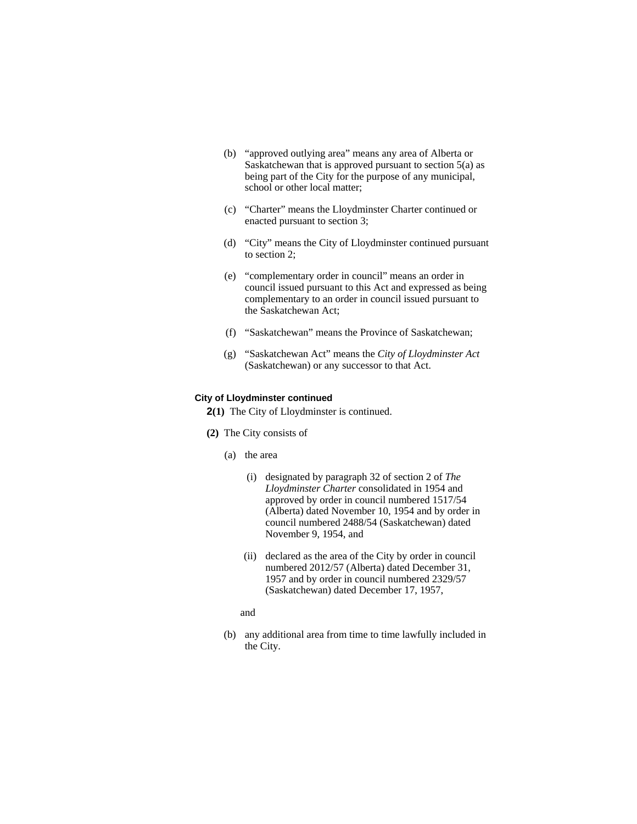- (b) "approved outlying area" means any area of Alberta or Saskatchewan that is approved pursuant to section 5(a) as being part of the City for the purpose of any municipal, school or other local matter;
- (c) "Charter" means the Lloydminster Charter continued or enacted pursuant to section 3;
- (d) "City" means the City of Lloydminster continued pursuant to section 2;
- (e) "complementary order in council" means an order in council issued pursuant to this Act and expressed as being complementary to an order in council issued pursuant to the Saskatchewan Act;
- (f) "Saskatchewan" means the Province of Saskatchewan;
- (g) "Saskatchewan Act" means the *City of Lloydminster Act* (Saskatchewan) or any successor to that Act.

#### **City of Lloydminster continued**

**2(1)** The City of Lloydminster is continued.

- **(2)** The City consists of
	- (a) the area
		- (i) designated by paragraph 32 of section 2 of *The Lloydminster Charter* consolidated in 1954 and approved by order in council numbered 1517/54 (Alberta) dated November 10, 1954 and by order in council numbered 2488/54 (Saskatchewan) dated November 9, 1954, and
		- (ii) declared as the area of the City by order in council numbered 2012/57 (Alberta) dated December 31, 1957 and by order in council numbered 2329/57 (Saskatchewan) dated December 17, 1957,
		- and
	- (b) any additional area from time to time lawfully included in the City.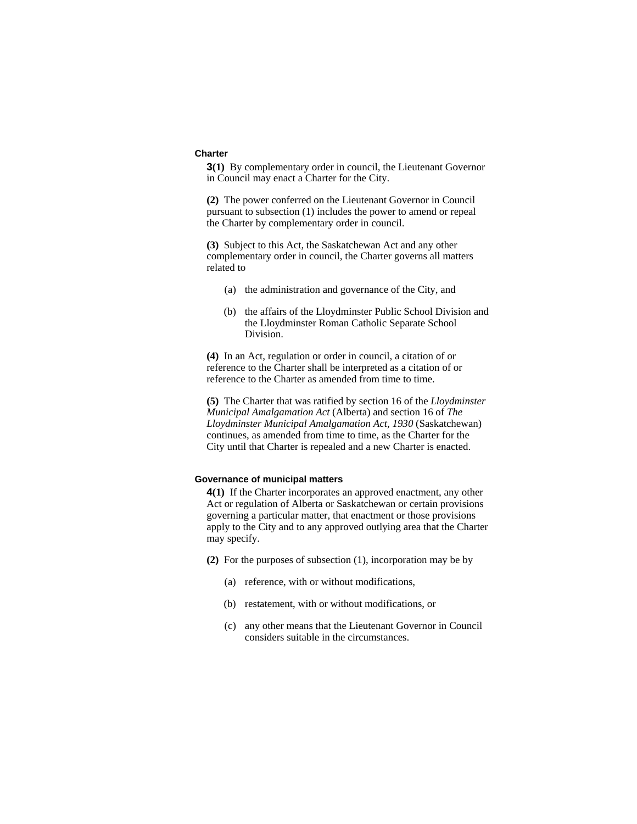#### **Charter**

**3(1)** By complementary order in council, the Lieutenant Governor in Council may enact a Charter for the City.

**(2)** The power conferred on the Lieutenant Governor in Council pursuant to subsection (1) includes the power to amend or repeal the Charter by complementary order in council.

**(3)** Subject to this Act, the Saskatchewan Act and any other complementary order in council, the Charter governs all matters related to

- (a) the administration and governance of the City, and
- (b) the affairs of the Lloydminster Public School Division and the Lloydminster Roman Catholic Separate School Division.

**(4)** In an Act, regulation or order in council, a citation of or reference to the Charter shall be interpreted as a citation of or reference to the Charter as amended from time to time.

**(5)** The Charter that was ratified by section 16 of the *Lloydminster Municipal Amalgamation Act* (Alberta) and section 16 of *The Lloydminster Municipal Amalgamation Act, 1930* (Saskatchewan) continues, as amended from time to time, as the Charter for the City until that Charter is repealed and a new Charter is enacted.

## **Governance of municipal matters**

**4(1)** If the Charter incorporates an approved enactment, any other Act or regulation of Alberta or Saskatchewan or certain provisions governing a particular matter, that enactment or those provisions apply to the City and to any approved outlying area that the Charter may specify.

- **(2)** For the purposes of subsection (1), incorporation may be by
	- (a) reference, with or without modifications,
	- (b) restatement, with or without modifications, or
	- (c) any other means that the Lieutenant Governor in Council considers suitable in the circumstances.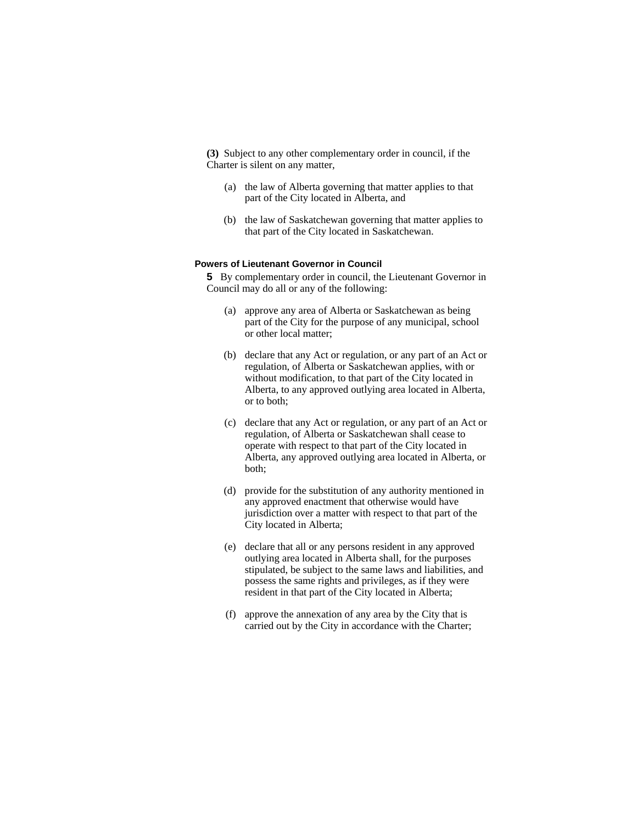**(3)** Subject to any other complementary order in council, if the Charter is silent on any matter,

- (a) the law of Alberta governing that matter applies to that part of the City located in Alberta, and
- (b) the law of Saskatchewan governing that matter applies to that part of the City located in Saskatchewan.

## **Powers of Lieutenant Governor in Council**

**5** By complementary order in council, the Lieutenant Governor in Council may do all or any of the following:

- (a) approve any area of Alberta or Saskatchewan as being part of the City for the purpose of any municipal, school or other local matter;
- (b) declare that any Act or regulation, or any part of an Act or regulation, of Alberta or Saskatchewan applies, with or without modification, to that part of the City located in Alberta, to any approved outlying area located in Alberta, or to both;
- (c) declare that any Act or regulation, or any part of an Act or regulation, of Alberta or Saskatchewan shall cease to operate with respect to that part of the City located in Alberta, any approved outlying area located in Alberta, or both;
- (d) provide for the substitution of any authority mentioned in any approved enactment that otherwise would have jurisdiction over a matter with respect to that part of the City located in Alberta;
- (e) declare that all or any persons resident in any approved outlying area located in Alberta shall, for the purposes stipulated, be subject to the same laws and liabilities, and possess the same rights and privileges, as if they were resident in that part of the City located in Alberta;
- (f) approve the annexation of any area by the City that is carried out by the City in accordance with the Charter;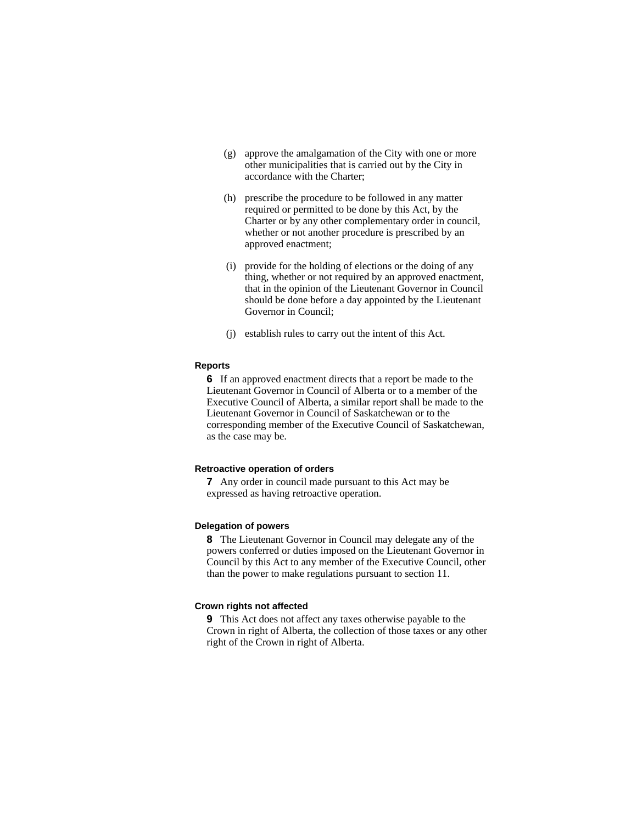- (g) approve the amalgamation of the City with one or more other municipalities that is carried out by the City in accordance with the Charter;
- (h) prescribe the procedure to be followed in any matter required or permitted to be done by this Act, by the Charter or by any other complementary order in council, whether or not another procedure is prescribed by an approved enactment;
- (i) provide for the holding of elections or the doing of any thing, whether or not required by an approved enactment, that in the opinion of the Lieutenant Governor in Council should be done before a day appointed by the Lieutenant Governor in Council;
- (j) establish rules to carry out the intent of this Act.

## **Reports**

**6** If an approved enactment directs that a report be made to the Lieutenant Governor in Council of Alberta or to a member of the Executive Council of Alberta, a similar report shall be made to the Lieutenant Governor in Council of Saskatchewan or to the corresponding member of the Executive Council of Saskatchewan, as the case may be.

#### **Retroactive operation of orders**

**7** Any order in council made pursuant to this Act may be expressed as having retroactive operation.

## **Delegation of powers**

**8** The Lieutenant Governor in Council may delegate any of the powers conferred or duties imposed on the Lieutenant Governor in Council by this Act to any member of the Executive Council, other than the power to make regulations pursuant to section 11.

## **Crown rights not affected**

**9** This Act does not affect any taxes otherwise payable to the Crown in right of Alberta, the collection of those taxes or any other right of the Crown in right of Alberta.